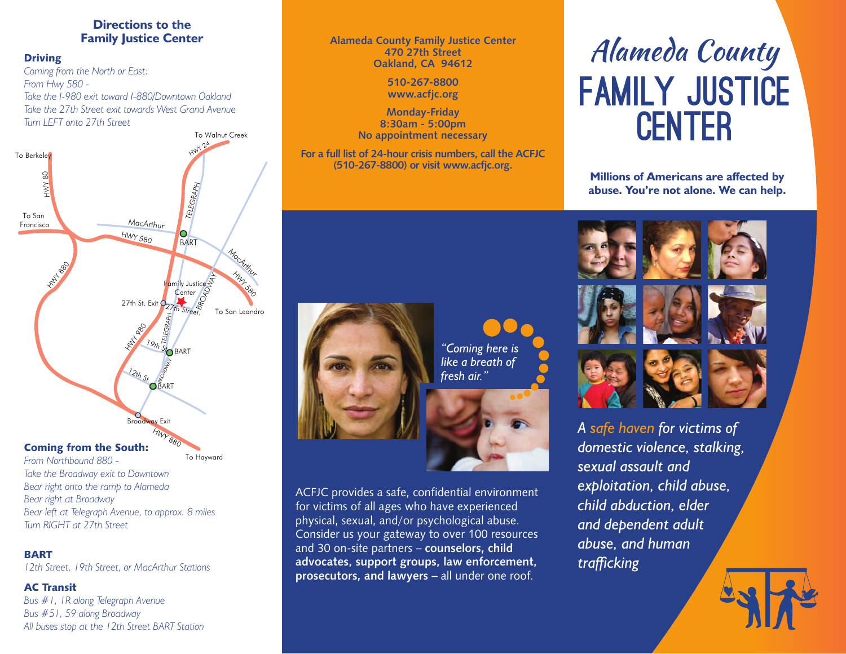### **Directions to the Family Justice Center**

### **Driving**

*Coming from the North or East: From Hwy 580 - Take the I-980 exit toward I-880/Downtown Oakland Take the 27th Street exit towards West Grand Avenue Turn LEFT onto 27th Street* To Walnut Creek



*From Northbound 880 - Take the Broadway exit to Downtown Bear right onto the ramp to Alameda Bear right at Broadway Bear left at Telegraph Avenue, to approx. 8 miles Turn RIGHT at 27th Street*

### BART

*12th Street, 19th Street, or MacArthur Stations*

### AC Transit

*Bus #1, 1R along Telegraph Avenue Bus #51, 59 along Broadway All buses stop at the 12th Street BART Station*

### **Alameda County Family Justice Center 470 27th Street Oakland, CA 94612**

**510-267-8800 www.acfjc.org**

**Monday-Friday 8:30am - 5:00pm No appointment necessary**

**For a full list of 24-hour crisis numbers, call the ACFJC (510-267-8800) or visit www.acfjc.org.**

*"Coming here is like a breath of fresh air."*



ACFJC provides a safe, confidential environment for victims of all ages who have experienced physical, sexual, and/or psychological abuse. Consider us your gateway to over 100 resources and 30 on-site partners – **counselors, child advocates, support groups, law enforcement, prosecutors, and lawyers** – all under one roof.

# Alameda County Family Justice **CENTER**

**Millions of Americans are affected by abuse. You're not alone. We can help.**



*A safe haven for victims of domestic violence, stalking, sexual assault and exploitation, child abuse, child abduction, elder and dependent adult abuse, and human trafficking*